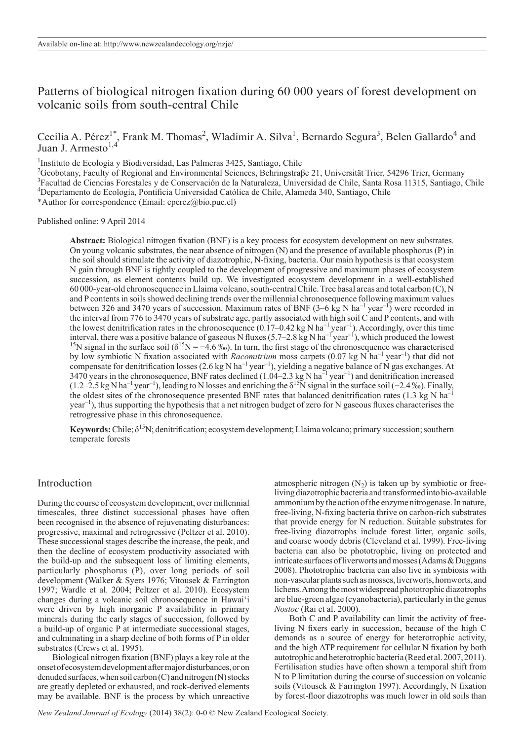Patterns of biological nitrogen fixation during 60 000 years of forest development on volcanic soils from south-central Chile

Cecilia A. Pérez<sup>1\*</sup>, Frank M. Thomas<sup>2</sup>, Wladimir A. Silva<sup>1</sup>, Bernardo Segura<sup>3</sup>, Belen Gallardo<sup>4</sup> and Juan J. Armesto $^{1,4}$ 

<sup>1</sup>Instituto de Ecología y Biodiversidad, Las Palmeras 3425, Santiago, Chile

<sup>2</sup>Geobotany, Faculty of Regional and Environmental Sciences, Behringstraβe 21, Universität Trier, 54296 Trier, Germany <sup>3</sup>Facultad de Ciencias Forestales y de Conservación de la Naturaleza, Universidad de Chile, Santa Rosa 11315, Santiago, Chile 4 Departamento de Ecología, Pontificia Universidad Católica de Chile, Alameda 340, Santiago, Chile

\*Author for correspondence (Email: cperez@bio.puc.cl)

#### Published online: 9 April 2014

**Abstract:** Biological nitrogen fixation (BNF) is a key process for ecosystem development on new substrates. On young volcanic substrates, the near absence of nitrogen (N) and the presence of available phosphorus (P) in the soil should stimulate the activity of diazotrophic, N-fixing, bacteria. Our main hypothesis is that ecosystem N gain through BNF is tightly coupled to the development of progressive and maximum phases of ecosystem succession, as element contents build up. We investigated ecosystem development in a well-established 60 000-year-old chronosequence in Llaima volcano, south-central Chile. Tree basal areas and total carbon (C), N and P contents in soils showed declining trends over the millennial chronosequence following maximum values between 326 and 3470 years of succession. Maximum rates of BNF  $(3-6 \text{ kg N} \text{ ha}^{-1} \text{ year}^{-1})$  were recorded in the interval from 776 to 3470 years of substrate age, partly associated with high soil C and P contents, and with the lowest denitrification rates in the chronosequence  $(0.17-0.42 \text{ kg N} \text{ ha}^{-1} \text{ year}^{-1})$ . Accordingly, over this time interval, there was a positive balance of gaseous N fluxes (5.7–2.8 kg N ha<sup>-1</sup> year<sup>-1</sup>), which produced the lowest <sup>15</sup>N signal in the surface soil ( $\delta^{15}N = -4.6\%$ ). In turn, the first stage of the chronosequence was characterised by low symbiotic N fixation associated with *Racomitrium* moss carpets (0.07 kg N ha<sup>-1</sup> year<sup>-1</sup>) that did not compensate for denitrification losses (2.6 kg N ha<sup>-1</sup> year<sup>-1</sup>), yielding a negative balance of N gas exchanges. At 3470 years in the chronosequence, BNF rates declined (1.04–2.3 kg N ha–1 year–1) and denitrification increased (1.2–2.5 kg N ha<sup>-1</sup> year<sup>-1</sup>), leading to N losses and enriching the  $\delta^{15}N$  signal in the surface soil (−2.4 ‰). Finally, the oldest sites of the chronosequence presented BNF rates that balanced denitrification rates (1.3 kg N ha<sup>-1</sup>  $year<sup>-1</sup>$ , thus supporting the hypothesis that a net nitrogen budget of zero for N gaseous fluxes characterises the retrogressive phase in this chronosequence.

**Keywords:** Chile;  $\delta^{15}N$ ; denitrification; ecosystem development; Llaima volcano; primary succession; southern temperate forests

## Introduction

During the course of ecosystem development, over millennial timescales, three distinct successional phases have often been recognised in the absence of rejuvenating disturbances: progressive, maximal and retrogressive (Peltzer et al. 2010). These successional stages describe the increase, the peak, and then the decline of ecosystem productivity associated with the build-up and the subsequent loss of limiting elements, particularly phosphorus (P), over long periods of soil development (Walker & Syers 1976; Vitousek & Farrington 1997; Wardle et al. 2004; Peltzer et al. 2010). Ecosystem changes during a volcanic soil chronosequence in Hawai'i were driven by high inorganic P availability in primary minerals during the early stages of succession, followed by a build-up of organic P at intermediate successional stages, and culminating in a sharp decline of both forms of P in older substrates (Crews et al. 1995).

Biological nitrogen fixation (BNF) plays a key role at the onset of ecosystem development after major disturbances, or on denuded surfaces, when soil carbon (C) and nitrogen (N) stocks are greatly depleted or exhausted, and rock-derived elements may be available. BNF is the process by which unreactive atmospheric nitrogen  $(N_2)$  is taken up by symbiotic or freeliving diazotrophic bacteria and transformed into bio-available ammonium by the action of the enzyme nitrogenase. In nature, free-living, N-fixing bacteria thrive on carbon-rich substrates that provide energy for N reduction. Suitable substrates for free-living diazotrophs include forest litter, organic soils, and coarse woody debris (Cleveland et al. 1999). Free-living bacteria can also be phototrophic, living on protected and intricate surfaces of liverworts and mosses (Adams & Duggans 2008). Phototrophic bacteria can also live in symbiosis with non-vascular plants such as mosses, liverworts, hornworts, and lichens. Among the most widespread phototrophic diazotrophs are blue-green algae (cyanobacteria), particularly in the genus *Nostoc* (Rai et al. 2000).

Both C and P availability can limit the activity of freeliving N fixers early in succession, because of the high C demands as a source of energy for heterotrophic activity, and the high ATP requirement for cellular N fixation by both autotrophic and heterotrophic bacteria (Reed etal. 2007, 2011). Fertilisation studies have often shown a temporal shift from N to P limitation during the course of succession on volcanic soils (Vitousek & Farrington 1997). Accordingly, N fixation by forest-floor diazotrophs was much lower in old soils than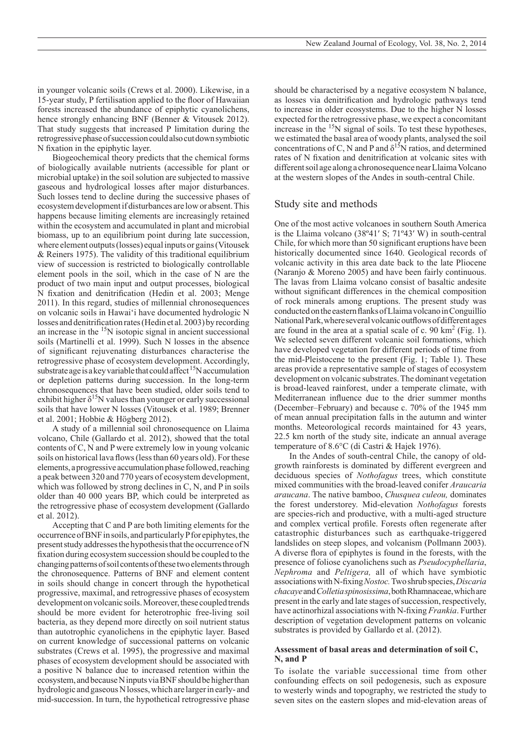in younger volcanic soils (Crews et al. 2000). Likewise, in a 15-year study, P fertilisation applied to the floor of Hawaiian forests increased the abundance of epiphytic cyanolichens, hence strongly enhancing BNF (Benner & Vitousek 2012). That study suggests that increased P limitation during the retrogressive phase of succession could also cut down symbiotic N fixation in the epiphytic layer.

Biogeochemical theory predicts that the chemical forms of biologically available nutrients (accessible for plant or microbial uptake) in the soil solution are subjected to massive gaseous and hydrological losses after major disturbances. Such losses tend to decline during the successive phases of ecosystem development if disturbances are low or absent. This happens because limiting elements are increasingly retained within the ecosystem and accumulated in plant and microbial biomass, up to an equilibrium point during late succession, where element outputs (losses) equal inputs or gains (Vitousek & Reiners 1975). The validity of this traditional equilibrium view of succession is restricted to biologically controllable element pools in the soil, which in the case of N are the product of two main input and output processes, biological N fixation and denitrification (Hedin et al. 2003; Menge 2011). In this regard, studies of millennial chronosequences on volcanic soils in Hawai'i have documented hydrologic N losses and denitrification rates (Hedin et al. 2003) by recording an increase in the 15N isotopic signal in ancient successional soils (Martinelli et al. 1999). Such N losses in the absence of significant rejuvenating disturbances characterise the retrogressive phase of ecosystem development. Accordingly, substrate age is a key variable that could affect  ${}^{15}N$  accumulation or depletion patterns during succession. In the long-term chronosequences that have been studied, older soils tend to exhibit higher  $\delta^{15}N$  values than younger or early successional soils that have lower N losses (Vitousek et al. 1989; Brenner et al. 2001; Hobbie & Högberg 2012).

A study of a millennial soil chronosequence on Llaima volcano, Chile (Gallardo et al. 2012), showed that the total contents of C, N and P were extremely low in young volcanic soils on historical lava flows (less than 60 years old). For these elements, a progressive accumulation phase followed, reaching a peak between 320 and 770 years of ecosystem development, which was followed by strong declines in  $C$ , N, and P in soils older than 40 000 years BP, which could be interpreted as the retrogressive phase of ecosystem development (Gallardo et al. 2012).

Accepting that C and P are both limiting elements for the occurrence of BNF in soils, and particularly P for epiphytes, the present study addresses the hypothesis that the occurrence of N fixation during ecosystem succession should be coupled to the changing patterns of soil contents of these two elements through the chronosequence. Patterns of BNF and element content in soils should change in concert through the hypothetical progressive, maximal, and retrogressive phases of ecosystem development on volcanic soils. Moreover, these coupled trends should be more evident for heterotrophic free-living soil bacteria, as they depend more directly on soil nutrient status than autotrophic cyanolichens in the epiphytic layer. Based on current knowledge of successional patterns on volcanic substrates (Crews et al. 1995), the progressive and maximal phases of ecosystem development should be associated with a positive N balance due to increased retention within the ecosystem, and because N inputs via BNF should be higher than hydrologic and gaseous N losses, which are larger in early- and mid-succession. In turn, the hypothetical retrogressive phase should be characterised by a negative ecosystem N balance, as losses via denitrification and hydrologic pathways tend to increase in older ecosystems. Due to the higher N losses expected for the retrogressive phase, we expect a concomitant increase in the <sup>15</sup>N signal of soils. To test these hypotheses, we estimated the basal area of woody plants, analysed the soil concentrations of C, N and P and  $\delta^{15}$ N ratios, and determined rates of N fixation and denitrification at volcanic sites with different soil age along a chronosequence near Llaima Volcano at the western slopes of the Andes in south-central Chile.

# Study site and methods

One of the most active volcanoes in southern South America is the Llaima volcano (38º41′ S; 71º43′ W) in south-central Chile, for which more than 50 significant eruptions have been historically documented since 1640. Geological records of volcanic activity in this area date back to the late Pliocene (Naranjo & Moreno 2005) and have been fairly continuous. The lavas from Llaima volcano consist of basaltic andesite without significant differences in the chemical composition of rock minerals among eruptions. The present study was conducted on the eastern flanks of Llaima volcano in Conguillío National Park,whereseveral volcanic outflows of different ages are found in the area at a spatial scale of c. 90  $\text{km}^2$  (Fig. 1). We selected seven different volcanic soil formations, which have developed vegetation for different periods of time from the mid-Pleistocene to the present (Fig. 1; Table 1). These areas provide a representative sample of stages of ecosystem development on volcanic substrates. The dominant vegetation is broad-leaved rainforest, under a temperate climate, with Mediterranean influence due to the drier summer months (December–February) and because c. 70% of the 1945 mm of mean annual precipitation falls in the autumn and winter months. Meteorological records maintained for 43 years, 22.5 km north of the study site, indicate an annual average temperature of 8.6°C (di Castri & Hajek 1976).

In the Andes of south-central Chile, the canopy of oldgrowth rainforests is dominated by different evergreen and deciduous species of *Nothofagus* trees, which constitute mixed communities with the broad-leaved conifer *Araucaria araucana*. The native bamboo, *Chusquea culeou,* dominates the forest understorey. Mid-elevation *Nothofagus* forests are species-rich and productive, with a multi-aged structure and complex vertical profile. Forests often regenerate after catastrophic disturbances such as earthquake-triggered landslides on steep slopes, and volcanism (Pollmann 2003). A diverse flora of epiphytes is found in the forests, with the presence of foliose cyanolichens such as *Pseudocyphellaria*, *Nephroma* and *Peltigera,* all of which have symbiotic associations with N-fixing *Nostoc.* Two shrub species, *Discaria chacaye* and *Colletia spinosissima*, both Rhamnaceae, which are present in the early and late stages of succession, respectively, have actinorhizal associations with N-fixing *Frankia*. Further description of vegetation development patterns on volcanic substrates is provided by Gallardo et al. (2012).

### **Assessment of basal areas and determination of soil C, N, and P**

To isolate the variable successional time from other confounding effects on soil pedogenesis, such as exposure to westerly winds and topography, we restricted the study to seven sites on the eastern slopes and mid-elevation areas of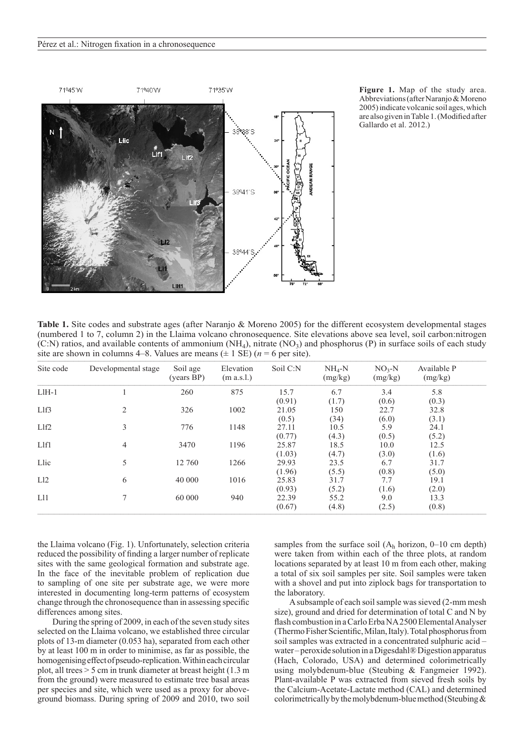

**Figure 1.** Map of the study area. Abbreviations (after Naranjo & Moreno 2005) indicate volcanic soil ages, which are also given in Table 1. (Modified after Gallardo et al. 2012.)

**Table 1.** Site codes and substrate ages (after Naranjo & Moreno 2005) for the different ecosystem developmental stages (numbered 1 to 7, column 2) in the Llaima volcano chronosequence. Site elevations above sea level, soil carbon:nitrogen (C:N) ratios, and available contents of ammonium  $(NH_4)$ , nitrate  $(NO_3)$  and phosphorus (P) in surface soils of each study site are shown in columns 4–8. Values are means  $(\pm 1 \text{ SE})$  ( $n = 6$  per site).

| Site code                     | Developmental stage | Soil age<br>(years BP) | Elevation<br>(m a.s.l.) | Soil C:N | $NH4-N$<br>(mg/kg) | $NO3-N$<br>(mg/kg) | Available P<br>(mg/kg) |
|-------------------------------|---------------------|------------------------|-------------------------|----------|--------------------|--------------------|------------------------|
| $L$ IH $-1$                   |                     | 260                    | 875                     | 15.7     | 6.7                | 3.4                | 5.8                    |
|                               |                     |                        |                         | (0.91)   | (1.7)              | (0.6)              | (0.3)                  |
| $L$ lf3                       | $\overline{2}$      | 326                    | 1002                    | 21.05    | 150                | 22.7               | 32.8                   |
|                               |                     |                        |                         | (0.5)    | (34)               | (6.0)              | (3.1)                  |
| L <sub>1</sub> f <sub>2</sub> | 3                   | 776                    | 1148                    | 27.11    | 10.5               | 5.9                | 24.1                   |
|                               |                     |                        |                         | (0.77)   | (4.3)              | (0.5)              | (5.2)                  |
| Llf1                          | 4                   | 3470                   | 1196                    | 25.87    | 18.5               | 10.0               | 12.5                   |
|                               |                     |                        |                         | (1.03)   | (4.7)              | (3.0)              | (1.6)                  |
| Llic                          | 5                   | 12 760                 | 1266                    | 29.93    | 23.5               | 6.7                | 31.7                   |
|                               |                     |                        |                         | (1.96)   | (5.5)              | (0.8)              | (5.0)                  |
| L12                           | 6                   | 40 000                 | 1016                    | 25.83    | 31.7               | 7.7                | 19.1                   |
|                               |                     |                        |                         | (0.93)   | (5.2)              | (1.6)              | (2.0)                  |
| L11                           | 7                   | 60 000                 | 940                     | 22.39    | 55.2               | 9.0                | 13.3                   |
|                               |                     |                        |                         | (0.67)   | (4.8)              | (2.5)              | (0.8)                  |

the Llaima volcano (Fig. 1). Unfortunately, selection criteria reduced the possibility of finding a larger number of replicate sites with the same geological formation and substrate age. In the face of the inevitable problem of replication due to sampling of one site per substrate age, we were more interested in documenting long-term patterns of ecosystem change through the chronosequence than in assessing specific differences among sites.

During the spring of 2009, in each of the seven study sites selected on the Llaima volcano, we established three circular plots of 13-m diameter (0.053 ha), separated from each other by at least 100 m in order to minimise, as far as possible, the homogenising effect of pseudo-replication. Within each circular plot, all trees > 5 cm in trunk diameter at breast height (1.3 m from the ground) were measured to estimate tree basal areas per species and site, which were used as a proxy for aboveground biomass. During spring of 2009 and 2010, two soil

samples from the surface soil  $(A_h \text{ horizon}, 0-10 \text{ cm depth})$ were taken from within each of the three plots, at random locations separated by at least 10 m from each other, making a total of six soil samples per site. Soil samples were taken with a shovel and put into ziplock bags for transportation to the laboratory.

A subsample of each soil sample was sieved (2-mm mesh size), ground and dried for determination of total C and N by flash combustion in a Carlo Erba NA 2500 Elemental Analyser (Thermo Fisher Scientific, Milan, Italy). Total phosphorus from soil samples was extracted in a concentrated sulphuric acid – water – peroxide solution in a Digesdahl® Digestion apparatus (Hach, Colorado, USA) and determined colorimetrically using molybdenum-blue (Steubing & Fangmeier 1992). Plant-available P was extracted from sieved fresh soils by the Calcium-Acetate-Lactate method (CAL) and determined colorimetrically by the molybdenum-blue method (Steubing  $\&$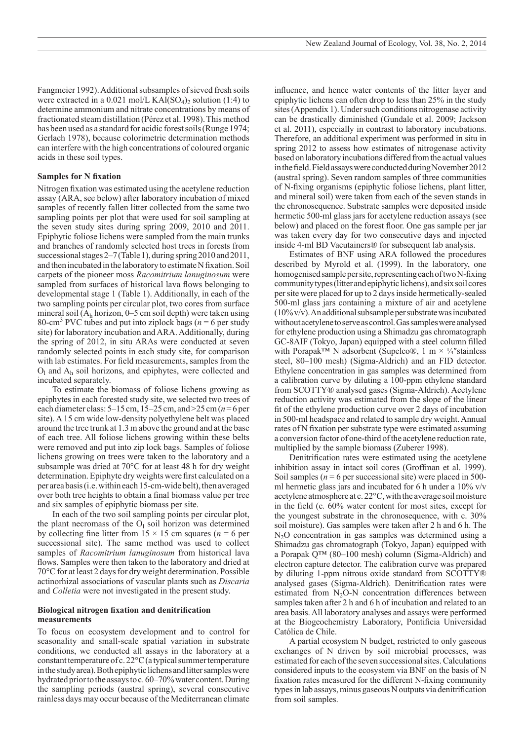Fangmeier 1992). Additional subsamples of sieved fresh soils were extracted in a  $0.021$  mol/L KAl(SO<sub>4</sub>)<sub>2</sub> solution (1:4) to determine ammonium and nitrate concentrations by means of fractionated steam distillation (Pérez et al. 1998). This method has been used as a standard for acidic forest soils (Runge 1974; Gerlach 1978), because colorimetric determination methods can interfere with the high concentrations of coloured organic acids in these soil types.

## **Samples for N fixation**

Nitrogen fixation was estimated using the acetylene reduction assay (ARA, see below) after laboratory incubation of mixed samples of recently fallen litter collected from the same two sampling points per plot that were used for soil sampling at the seven study sites during spring 2009, 2010 and 2011. Epiphytic foliose lichens were sampled from the main trunks and branches of randomly selected host trees in forests from successional stages 2–7 (Table 1), during spring 2010 and 2011, and then incubated in the laboratory to estimate N fixation. Soil carpets of the pioneer moss *Racomitrium lanuginosum* were sampled from surfaces of historical lava flows belonging to developmental stage 1 (Table 1). Additionally, in each of the two sampling points per circular plot, two cores from surface mineral soil  $(A_h \text{ horizon}, 0-5 \text{ cm} \text{ soil depth})$  were taken using 80-cm<sup>3</sup> PVC tubes and put into ziplock bags ( $n = 6$  per study site) for laboratory incubation and ARA. Additionally, during the spring of 2012, in situ ARAs were conducted at seven randomly selected points in each study site, for comparison with lab estimates. For field measurements, samples from the  $O<sub>l</sub>$  and  $A<sub>h</sub>$  soil horizons, and epiphytes, were collected and incubated separately.

To estimate the biomass of foliose lichens growing as epiphytes in each forested study site, we selected two trees of each diameter class: 5–15 cm, 15–25 cm, and >25 cm (*n*=6 per site). A 15 cm wide low-density polyethylene belt was placed around the tree trunk at 1.3 m above the ground and at the base of each tree. All foliose lichens growing within these belts were removed and put into zip lock bags. Samples of foliose lichens growing on trees were taken to the laboratory and a subsample was dried at 70°C for at least 48 h for dry weight determination. Epiphyte dry weights were first calculated on a per area basis (i.e. within each 15-cm-wide belt), then averaged over both tree heights to obtain a final biomass value per tree and six samples of epiphytic biomass per site.

In each of the two soil sampling points per circular plot, the plant necromass of the  $O<sub>l</sub>$  soil horizon was determined by collecting fine litter from  $15 \times 15$  cm squares ( $n = 6$  per successional site). The same method was used to collect samples of *Racomitrium lanuginosum* from historical lava flows. Samples were then taken to the laboratory and dried at 70°C for at least 2 days for dry weight determination. Possible actinorhizal associations of vascular plants such as *Discaria* and *Colletia* were not investigated in the present study.

### **Biological nitrogen fixation and denitrification measurements**

To focus on ecosystem development and to control for seasonality and small-scale spatial variation in substrate conditions, we conducted all assays in the laboratory at a constant temperature of c. 22°C (a typical summer temperature in the study area). Both epiphytic lichens and litter samples were hydrated prior to the assays to c. 60–70% water content. During the sampling periods (austral spring), several consecutive rainless days may occur because of the Mediterranean climate

influence, and hence water contents of the litter layer and epiphytic lichens can often drop to less than 25% in the study sites (Appendix 1). Under such conditions nitrogenase activity can be drastically diminished (Gundale et al. 2009; Jackson et al. 2011), especially in contrast to laboratory incubations. Therefore, an additional experiment was performed in situ in spring 2012 to assess how estimates of nitrogenase activity based on laboratory incubations differed from the actual values in the field. Field assays were conducted during November 2012 (austral spring). Seven random samples of three communities of N-fixing organisms (epiphytic foliose lichens, plant litter, and mineral soil) were taken from each of the seven stands in the chronosequence. Substrate samples were deposited inside hermetic 500-ml glass jars for acetylene reduction assays (see below) and placed on the forest floor. One gas sample per jar was taken every day for two consecutive days and injected inside 4-ml BD Vacutainers® for subsequent lab analysis.

Estimates of BNF using ARA followed the procedures described by Myrold et al. (1999). In the laboratory, one homogenised sample per site, representing each of two N-fixing community types (litter and epiphytic lichens), and six soil cores per site were placed for up to 2 days inside hermetically-sealed 500-ml glass jars containing a mixture of air and acetylene (10% v/v). An additional subsample per substrate was incubated without acetylene to serve as control. Gas samples were analysed for ethylene production using a Shimadzu gas chromatograph GC-8AIF (Tokyo, Japan) equipped with a steel column filled with Porapak<sup>™</sup> N adsorbent (Supelco®, 1 m  $\times$  ¼"stainless steel, 80–100 mesh) (Sigma-Aldrich) and an FID detector. Ethylene concentration in gas samples was determined from a calibration curve by diluting a 100-ppm ethylene standard from SCOTTY® analysed gases (Sigma-Aldrich). Acetylene reduction activity was estimated from the slope of the linear fit of the ethylene production curve over 2 days of incubation in 500-ml headspace and related to sample dry weight. Annual rates of N fixation per substrate type were estimated assuming a conversion factor of one-third of the acetylene reduction rate, multiplied by the sample biomass (Zuberer 1998).

Denitrification rates were estimated using the acetylene inhibition assay in intact soil cores (Groffman et al. 1999). Soil samples ( $n = 6$  per successional site) were placed in 500ml hermetic glass jars and incubated for 6 h under a  $10\%$  v/v acetylene atmosphere at c. 22°C, with the average soil moisture in the field (c*.* 60% water content for most sites, except for the youngest substrate in the chronosequence, with c. 30% soil moisture). Gas samples were taken after 2 h and 6 h. The N<sub>2</sub>O concentration in gas samples was determined using a Shimadzu gas chromatograph (Tokyo, Japan) equipped with a Porapak Q™ (80–100 mesh) column (Sigma-Aldrich) and electron capture detector. The calibration curve was prepared by diluting 1-ppm nitrous oxide standard from SCOTTY® analysed gases (Sigma-Aldrich). Denitrification rates were estimated from  $N_2O-N$  concentration differences between samples taken after 2 h and 6 h of incubation and related to an area basis. All laboratory analyses and assays were performed at the Biogeochemistry Laboratory, Pontificia Universidad Católica de Chile.

A partial ecosystem N budget, restricted to only gaseous exchanges of N driven by soil microbial processes, was estimated for each of the seven successional sites. Calculations considered inputs to the ecosystem via BNF on the basis of N fixation rates measured for the different N-fixing community types in lab assays, minus gaseous N outputs via denitrification from soil samples.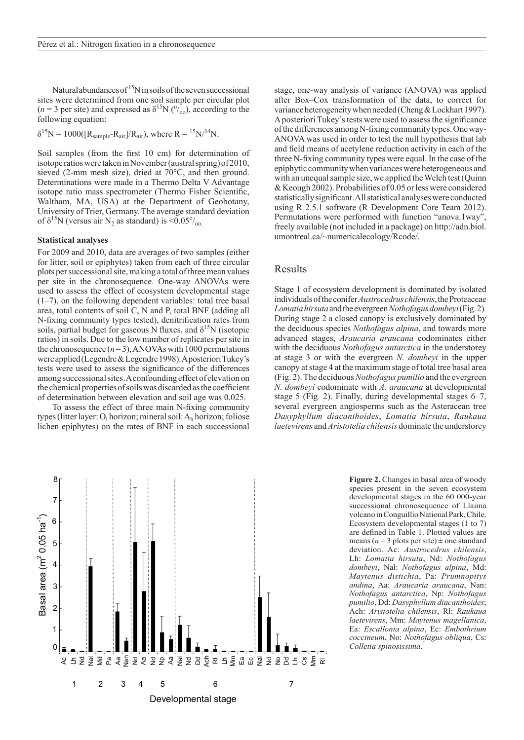Natural abundances of  $15N$  in soils of the seven successional sites were determined from one soil sample per circular plot  $(n=3$  per site) and expressed as  $\delta^{15}N$  ( $\frac{\delta}{\delta}$ ), according to the following equation:

 $\delta^{15}N = 1000([R_{sample}-R_{air}]/R_{air})$ , where  $R = {}^{15}N/{}^{14}N$ .

Soil samples (from the first 10 cm) for determination of isotope ratios were taken in November (austral spring) of 2010, sieved (2-mm mesh size), dried at 70°C, and then ground. Determinations were made in a Thermo Delta V Advantage isotope ratio mass spectrometer (Thermo Fisher Scientific, Waltham, MA, USA) at the Department of Geobotany, University of Trier, Germany. The average standard deviation of  $\delta^{15}N$  (versus air N<sub>2</sub> as standard) is <0.05 $\%$ <sub>00</sub>.

### **Statistical analyses**

For 2009 and 2010, data are averages of two samples (either for litter, soil or epiphytes) taken from each of three circular plots per successional site, making a total of three mean values per site in the chronosequence. One-way ANOVAs were used to assess the effect of ecosystem developmental stage (1–7), on the following dependent variables: total tree basal area, total contents of soil C, N and P, total BNF (adding all N-fixing community types tested), denitrification rates from soils, partial budget for gaseous N fluxes, and  $\delta^{15}N$  (isotopic ratios) in soils. Due to the low number of replicates per site in the chronosequence  $(n=3)$ , ANOVAs with 1000 permutations were applied (Legendre & Legendre 1998). Aposteriori Tukey's tests were used to assess the significance of the differences among successional sites. A confounding effect of elevation on the chemical properties of soils was discarded as the coefficient of determination between elevation and soil age was 0.025.

To assess the effect of three main N-fixing community types (litter layer: O<sub>l</sub> horizon; mineral soil: A<sub>h</sub> horizon; foliose lichen epiphytes) on the rates of BNF in each successional



stage, one-way analysis of variance (ANOVA) was applied after Box–Cox transformation of the data, to correct for variance heterogeneity when needed (Cheng & Lockhart 1997). Aposteriori Tukey's tests were used to assess the significance of the differences among N-fixing community types. One way-ANOVA was used in order to test the null hypothesis that lab and field means of acetylene reduction activity in each of the three N-fixing community types were equal. In the case of the epiphytic community when variances were heterogeneous and with an unequal sample size, we applied the Welch test (Quinn & Keough 2002). Probabilities of 0.05 or less were considered statistically significant. All statistical analyses were conducted using R 2.5.1 software (R Development Core Team 2012). Permutations were performed with function "anova.1way", freely available (not included in a package) on http://adn.biol. umontreal.ca/~numericalecology/Rcode/.

## Results

Stage 1 of ecosystem development is dominated by isolated individuals of the conifer *Austrocedrus chilensis*, the Proteaceae *Lomatia hirsuta* and the evergreen *Nothofagus dombeyi* (Fig.2)*.* During stage 2 a closed canopy is exclusively dominated by the deciduous species *Nothofagus alpina*, and towards more advanced stages, *Araucaria araucana* codominates either with the deciduous *Nothofagus antarctica* in the understorey at stage 3 or with the evergreen *N. dombeyi* in the upper canopy at stage 4 at the maximum stage of total tree basal area (Fig. 2). The deciduous *Nothofagus pumilio* and the evergreen *N. dombeyi* codominate with *A. araucana* at developmental stage 5 (Fig. 2). Finally, during developmental stages 6–7, several evergreen angiosperms such as the Asteracean tree *Dasyphyllum diacanthoides*, *Lomatia hirsuta*, *Raukaua laetevirens* and *Aristotelia chilensis* dominate the understorey

> **Figure 2.** Changes in basal area of woody species present in the seven ecosystem developmental stages in the 60 000-year successional chronosequence of Llaima volcano in Conguillío National Park, Chile. Ecosystem developmental stages (1 to 7) are defined in Table 1. Plotted values are means ( $n = 3$  plots per site)  $\pm$  one standard deviation. Ac: *Austrocedrus chilensis*, Lh: *Lomatia hirsuta*, Nd: *Nothofagus dombeyi*, Nal: *Nothofagus alpina*, Md: *Maytenus distichia*, Pa: *Prumnopitys andina*, Aa: *Araucaria araucana*, Nan: *Nothofagus antarctica*, Np: *Nothofagus pumilio*, Dd: *Dasyphyllum diacanthoides*; Ach: *Aristotelia chilensis*, Rl: *Raukaua laetevirens*, Mm: *Maytenus magellanica*, Ea: *Escallonia alpina*, Ec: *Embothrium coccineum*, No: *Nothofagus obliqua*, Cs: *Colletia spinosissima*.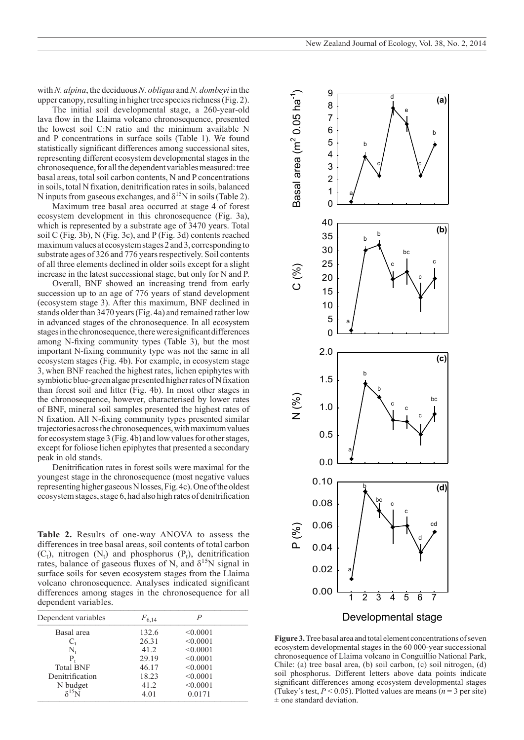with *N. alpina*, the deciduous *N. obliqua* and *N. dombeyi* in the upper canopy, resulting in higher tree species richness (Fig. 2).

The initial soil developmental stage, a 260-year-old lava flow in the Llaima volcano chronosequence, presented the lowest soil C:N ratio and the minimum available N and P concentrations in surface soils (Table 1). We found statistically significant differences among successional sites, representing different ecosystem developmental stages in the chronosequence, for all the dependent variables measured: tree basal areas, total soil carbon contents, N and P concentrations in soils, total N fixation, denitrification rates in soils, balanced N inputs from gaseous exchanges, and  $\delta^{15}$ N in soils (Table 2).

Maximum tree basal area occurred at stage 4 of forest ecosystem development in this chronosequence (Fig. 3a), which is represented by a substrate age of 3470 years. Total soil C (Fig. 3b), N (Fig. 3c), and P (Fig. 3d) contents reached maximum values at ecosystem stages 2 and 3, corresponding to substrate ages of 326 and 776 years respectively. Soil contents of all three elements declined in older soils except for a slight increase in the latest successional stage, but only for N and P.

Overall, BNF showed an increasing trend from early succession up to an age of 776 years of stand development (ecosystem stage 3). After this maximum, BNF declined in stands older than 3470 years (Fig. 4a) and remained rather low in advanced stages of the chronosequence. In all ecosystem stages in the chronosequence, there were significant differences among N-fixing community types (Table 3), but the most important N-fixing community type was not the same in all ecosystem stages (Fig. 4b). For example, in ecosystem stage 3, when BNF reached the highest rates, lichen epiphytes with symbiotic blue-green algae presented higher rates of N fixation than forest soil and litter (Fig. 4b). In most other stages in the chronosequence, however, characterised by lower rates of BNF, mineral soil samples presented the highest rates of N fixation. All N-fixing community types presented similar trajectories across the chronosequences, with maximum values for ecosystem stage 3 (Fig. 4b) and low values for other stages, except for foliose lichen epiphytes that presented a secondary peak in old stands.

Denitrification rates in forest soils were maximal for the youngest stage in the chronosequence (most negative values representing higher gaseous N losses, Fig.4c). One of the oldest ecosystem stages, stage 6, had also high rates of denitrification

**Table 2.** Results of one-way ANOVA to assess the differences in tree basal areas, soil contents of total carbon  $(C_t)$ , nitrogen  $(N_t)$  and phosphorus  $(P_t)$ , denitrification rates, balance of gaseous fluxes of N, and  $\delta^{15}$ N signal in surface soils for seven ecosystem stages from the Llaima volcano chronosequence. Analyses indicated significant differences among stages in the chronosequence for all dependent variables.  $\mathbf{r}_1$  , and the set of the set of the set of the set of the set of the set of the set of the set of the set of the set of the set of the set of the set of the set of the set of the set of the set of the set of the set

| Dependent variables | $F_{6,14}$ |          |  |
|---------------------|------------|----------|--|
| Basal area          | 132.6      | < 0.0001 |  |
| $C_{t}$             | 26.31      | < 0.0001 |  |
| $N_{t}$             | 41.2       | < 0.0001 |  |
| P,                  | 29.19      | < 0.0001 |  |
| <b>Total BNF</b>    | 46.17      | < 0.0001 |  |
| Denitrification     | 18.23      | < 0.0001 |  |
| N budget            | 41.2       | < 0.0001 |  |
| $$15$ NI            | 4.01       | 0.0171   |  |



**Figure 3.** Tree basal area and total element concentrations of seven ecosystem developmental stages in the 60 000-year successional chronosequence of Llaima volcano in Conguillío National Park, Chile: (a) tree basal area, (b) soil carbon, (c) soil nitrogen, (d) soil phosphorus. Different letters above data points indicate significant differences among ecosystem developmental stages (Tukey's test,  $P < 0.05$ ). Plotted values are means ( $n = 3$  per site)  $\pm$  one standard deviation.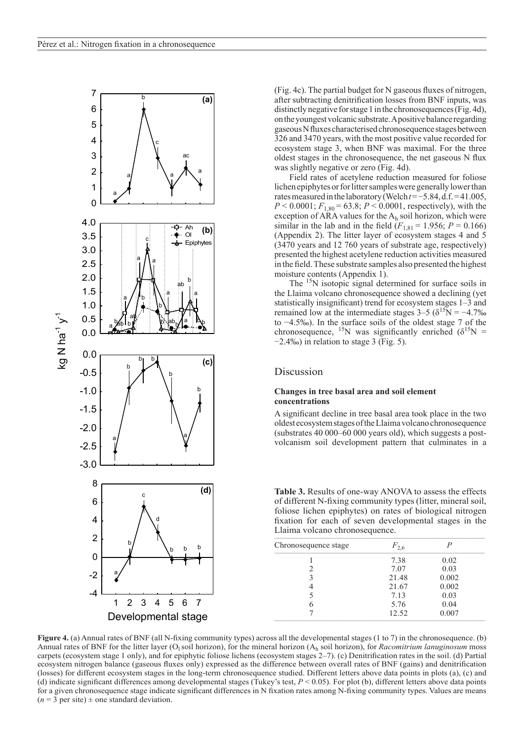

(Fig. 4c). The partial budget for N gaseous fluxes of nitrogen, after subtracting denitrification losses from BNF inputs, was distinctly negative for stage 1 in the chronosequences (Fig.4d), on the youngest volcanic substrate. A positive balance regarding gaseous N fluxes characterised chronosequence stages between 326 and 3470 years, with the most positive value recorded for ecosystem stage 3, when BNF was maximal. For the three oldest stages in the chronosequence, the net gaseous N flux was slightly negative or zero (Fig. 4d).

Field rates of acetylene reduction measured for foliose lichen epiphytes or for litter samples were generally lower than rates measured in the laboratory (Welch *t*=−5.84, d.f. = 41.005,  $P < 0.0001$ ;  $F_{1,80} = 63.8$ ;  $P < 0.0001$ , respectively), with the exception of ARA values for the  $A_h$  soil horizon, which were similar in the lab and in the field  $(F_{1,81} = 1.956; P = 0.166)$ (Appendix 2). The litter layer of ecosystem stages 4 and 5 (3470 years and 12 760 years of substrate age, respectively) presented the highest acetylene reduction activities measured in the field. These substrate samples also presented the highest moisture contents (Appendix 1).

The <sup>15</sup>N isotopic signal determined for surface soils in the Llaima volcano chronosequence showed a declining (yet statistically insignificant) trend for ecosystem stages 1–3 and remained low at the intermediate stages  $3-5$  ( $\delta^{15}N = -4.7\%$ to −4.5‰). In the surface soils of the oldest stage 7 of the chronosequence, <sup>15</sup>N was significantly enriched  $(\delta^{15}N =$ −2.4‰) in relation to stage 3 (Fig. 5).

# Discussion

## **Changes in tree basal area and soil element concentrations**

A significant decline in tree basal area took place in the two oldest ecosystem stages of the Llaima volcano chronosequence (substrates 40 000–60 000 years old), which suggests a postvolcanism soil development pattern that culminates in a

**Table 3.** Results of one-way ANOVA to assess the effects of different N-fixing community types (litter, mineral soil, foliose lichen epiphytes) on rates of biological nitrogen fixation for each of seven developmental stages in the Llaima volcano chronosequence.

| $F_{2,6}$ |       |  |
|-----------|-------|--|
| 7.38      | 0.02  |  |
| 7.07      | 0.03  |  |
| 21.48     | 0.002 |  |
| 21.67     | 0.002 |  |
| 7.13      | 0.03  |  |
| 5.76      | 0.04  |  |
| 12.52     | 0.007 |  |
|           |       |  |

**Figure 4.** (a) Annual rates of BNF (all N-fixing community types) across all the developmental stages (1 to 7) in the chronosequence. (b) Annual rates of BNF for the litter layer (O<sub>l</sub> soil horizon), for the mineral horizon (A<sub>h</sub> soil horizon), for *Racomitrium lanuginosum* moss carpets (ecosystem stage 1 only), and for epiphytic foliose lichens (ecosystem stages 2–7). (c) Denitrification rates in the soil. (d) Partial ecosystem nitrogen balance (gaseous fluxes only) expressed as the difference between overall rates of BNF (gains) and denitrification (losses) for different ecosystem stages in the long-term chronosequence studied. Different letters above data points in plots (a), (c) and (d) indicate significant differences among developmental stages (Tukey's test, *P* < 0.05). For plot (b), different letters above data points for a given chronosequence stage indicate significant differences in N fixation rates among N-fixing community types. Values are means  $(n = 3$  per site)  $\pm$  one standard deviation.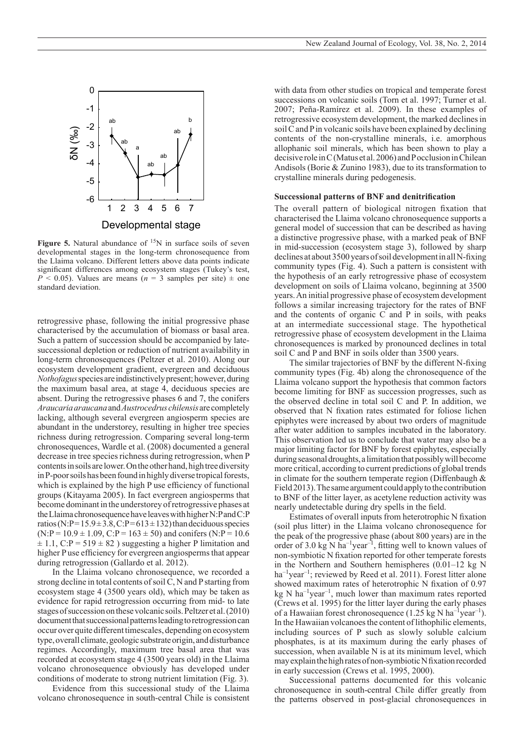

**Figure 5.** Natural abundance of <sup>15</sup>N in surface soils of seven developmental stages in the long-term chronosequence from the Llaima volcano. Different letters above data points indicate significant differences among ecosystem stages (Tukey's test,  $P \le 0.05$ ). Values are means ( $n = 3$  samples per site)  $\pm$  one standard deviation.

retrogressive phase, following the initial progressive phase characterised by the accumulation of biomass or basal area. Such a pattern of succession should be accompanied by latesuccessional depletion or reduction of nutrient availability in long-term chronosequences (Peltzer et al. 2010). Along our ecosystem development gradient, evergreen and deciduous *Nothofagus* species are indistinctively present; however, during the maximum basal area, at stage 4, deciduous species are absent. During the retrogressive phases 6 and 7, the conifers *Araucaria araucana* and *Austrocedrus chilensis* are completely lacking, although several evergreen angiosperm species are abundant in the understorey, resulting in higher tree species richness during retrogression. Comparing several long-term chronosequences, Wardle et al. (2008) documented a general decrease in tree species richness during retrogression, when P contents in soils are lower. On the other hand, high tree diversity in P-poor soils has been found in highly diverse tropical forests, which is explained by the high P use efficiency of functional groups (Kitayama 2005). In fact evergreen angiosperms that become dominant in the understorey of retrogressive phases at the Llaima chronosequence have leaves with higher N:P and C:P ratios (N:P=15.9  $\pm$  3.8, C:P=613  $\pm$  132) than deciduous species  $(N:P = 10.9 \pm 1.09, C:P = 163 \pm 50)$  and conifers  $(N:P = 10.6$  $\pm$  1.1, C:P = 519  $\pm$  82) suggesting a higher P limitation and higher P use efficiency for evergreen angiosperms that appear during retrogression (Gallardo et al. 2012).

In the Llaima volcano chronosequence, we recorded a strong decline in total contents of soil C, N and P starting from ecosystem stage 4 (3500 years old), which may be taken as evidence for rapid retrogression occurring from mid- to late stages of succession on these volcanic soils. Peltzer et al. (2010) document that successional patterns leading to retrogression can occur over quite different timescales, depending on ecosystem type, overall climate, geologic substrate origin, and disturbance regimes. Accordingly, maximum tree basal area that was recorded at ecosystem stage 4 (3500 years old) in the Llaima volcano chronosequence obviously has developed under conditions of moderate to strong nutrient limitation (Fig. 3).

Evidence from this successional study of the Llaima volcano chronosequence in south-central Chile is consistent with data from other studies on tropical and temperate forest successions on volcanic soils (Torn et al. 1997; Turner et al. 2007; Peña-Ramírez et al. 2009). In these examples of retrogressive ecosystem development, the marked declines in soil C and P in volcanic soils have been explained by declining contents of the non-crystalline minerals, i.e. amorphous allophanic soil minerals, which has been shown to play a decisive role in C (Matus et al. 2006) and P occlusion in Chilean Andisols (Borie & Zunino 1983), due to its transformation to crystalline minerals during pedogenesis.

### **Successional patterns of BNF and denitrification**

The overall pattern of biological nitrogen fixation that characterised the Llaima volcano chronosequence supports a general model of succession that can be described as having a distinctive progressive phase, with a marked peak of BNF in mid-succession (ecosystem stage 3), followed by sharp declines at about 3500 years of soil development in all N-fixing community types (Fig. 4). Such a pattern is consistent with the hypothesis of an early retrogressive phase of ecosystem development on soils of Llaima volcano, beginning at 3500 years. An initial progressive phase of ecosystem development follows a similar increasing trajectory for the rates of BNF and the contents of organic C and P in soils, with peaks at an intermediate successional stage. The hypothetical retrogressive phase of ecosystem development in the Llaima chronosequences is marked by pronounced declines in total soil C and P and BNF in soils older than 3500 years.

The similar trajectories of BNF by the different N-fixing community types (Fig. 4b) along the chronosequence of the Llaima volcano support the hypothesis that common factors become limiting for BNF as succession progresses, such as the observed decline in total soil C and P. In addition, we observed that N fixation rates estimated for foliose lichen epiphytes were increased by about two orders of magnitude after water addition to samples incubated in the laboratory. This observation led us to conclude that water may also be a major limiting factor for BNF by forest epiphytes, especially during seasonal droughts, a limitation that possibly will become more critical, according to current predictions of global trends in climate for the southern temperate region (Diffenbaugh  $\&$ Field 2013). The same argument could apply to the contribution to BNF of the litter layer, as acetylene reduction activity was nearly undetectable during dry spells in the field.

Estimates of overall inputs from heterotrophic N fixation (soil plus litter) in the Llaima volcano chronosequence for the peak of the progressive phase (about 800 years) are in the order of 3.0 kg N ha<sup>-1</sup>year<sup>-1</sup>, fitting well to known values of non-symbiotic N fixation reported for other temperate forests in the Northern and Southern hemispheres (0.01–12 kg N  $ha^{-1}year^{-1}$ ; reviewed by Reed et al. 2011). Forest litter alone showed maximum rates of heterotrophic N fixation of 0.97 kg N ha<sup>-1</sup>year<sup>-1</sup>, much lower than maximum rates reported (Crews et al. 1995) for the litter layer during the early phases of a Hawaiian forest chronosequence  $(1.25 \text{ kg N} \text{ ha}^{-1} \text{year}^{-1})$ . In the Hawaiian volcanoes the content of lithophilic elements, including sources of P such as slowly soluble calcium phosphates, is at its maximum during the early phases of succession, when available N is at its minimum level, which may explain the high rates of non-symbiotic N fixation recorded in early succession (Crews et al. 1995, 2000).

Successional patterns documented for this volcanic chronosequence in south-central Chile differ greatly from the patterns observed in post-glacial chronosequences in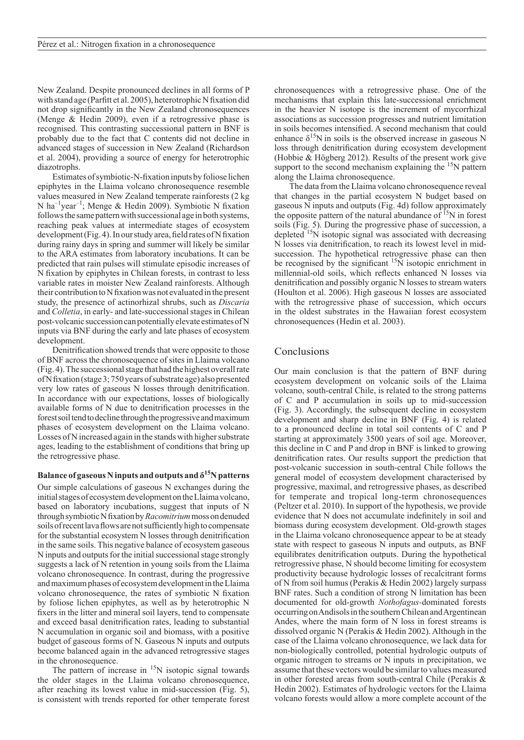New Zealand. Despite pronounced declines in all forms of P with stand age (Parfitt et al. 2005), heterotrophic N fixation did not drop significantly in the New Zealand chronosequences (Menge & Hedin 2009), even if a retrogressive phase is recognised. This contrasting successional pattern in BNF is probably due to the fact that C contents did not decline in advanced stages of succession in New Zealand (Richardson et al. 2004), providing a source of energy for heterotrophic diazotrophs.

Estimates of symbiotic-N-fixation inputs by foliose lichen epiphytes in the Llaima volcano chronosequence resemble values measured in New Zealand temperate rainforests (2 kg N ha–1year–1; Menge & Hedin 2009). Symbiotic N fixation follows the same pattern with successional age in both systems, reaching peak values at intermediate stages of ecosystem development (Fig. 4). In our study area, field rates of N fixation during rainy days in spring and summer will likely be similar to the ARA estimates from laboratory incubations. It can be predicted that rain pulses will stimulate episodic increases of N fixation by epiphytes in Chilean forests, in contrast to less variable rates in moister New Zealand rainforests. Although their contribution to N fixation was not evaluated in the present study, the presence of actinorhizal shrubs, such as *Discaria* and *Colletia*, in early- and late-successional stages in Chilean post-volcanic succession can potentially elevate estimates of N inputs via BNF during the early and late phases of ecosystem development.

Denitrification showed trends that were opposite to those of BNF across the chronosequence of sites in Llaima volcano (Fig.4). The successional stage that had the highest overall rate of N fixation (stage 3; 750 years of substrate age) also presented very low rates of gaseous N losses through denitrification. In accordance with our expectations, losses of biologically available forms of N due to denitrification processes in the forest soil tend to decline through the progressive and maximum phases of ecosystem development on the Llaima volcano. Losses of N increased again in the stands with higher substrate ages, leading to the establishment of conditions that bring up the retrogressive phase.

# **Balance of gaseous N inputs and outputs and δ15N patterns**

Our simple calculations of gaseous N exchanges during the initial stages of ecosystem development on the Llaima volcano, based on laboratory incubations, suggest that inputs of N through symbiotic N fixation by *Racomitrium* moss on denuded soils of recent lava flows are not sufficiently high to compensate for the substantial ecosystem N losses through denitrification in the same soils. This negative balance of ecosystem gaseous N inputs and outputs for the initial successional stage strongly suggests a lack of N retention in young soils from the Llaima volcano chronosequence. In contrast, during the progressive and maximum phases of ecosystem development in the Llaima volcano chronosequence, the rates of symbiotic N fixation by foliose lichen epiphytes, as well as by heterotrophic N fixers in the litter and mineral soil layers, tend to compensate and exceed basal denitrification rates, leading to substantial N accumulation in organic soil and biomass, with a positive budget of gaseous forms of N. Gaseous N inputs and outputs become balanced again in the advanced retrogressive stages in the chronosequence.

The pattern of increase in  $15N$  isotopic signal towards the older stages in the Llaima volcano chronosequence, after reaching its lowest value in mid-succession (Fig. 5), is consistent with trends reported for other temperate forest chronosequences with a retrogressive phase. One of the mechanisms that explain this late-successional enrichment in the heavier N isotope is the increment of mycorrhizal associations as succession progresses and nutrient limitation in soils becomes intensified. A second mechanism that could enhance  $\delta^{15}N$  in soils is the observed increase in gaseous N loss through denitrification during ecosystem development (Hobbie & Högberg 2012). Results of the present work give support to the second mechanism explaining the <sup>15</sup>N pattern along the Llaima chronosequence.

The data from the Llaima volcano chronosequence reveal that changes in the partial ecosystem N budget based on gaseous N inputs and outputs (Fig. 4d) follow approximately the opposite pattern of the natural abundance of  $^{15}N$  in forest soils (Fig. 5). During the progressive phase of succession, a depleted <sup>15</sup>N isotopic signal was associated with decreasing N losses via denitrification, to reach its lowest level in midsuccession. The hypothetical retrogressive phase can then be recognised by the significant  $\binom{15}{1}$  isotopic enrichment in millennial-old soils, which reflects enhanced N losses via denitrification and possibly organic N losses to stream waters (Houlton et al. 2006). High gaseous N losses are associated with the retrogressive phase of succession, which occurs in the oldest substrates in the Hawaiian forest ecosystem chronosequences (Hedin et al. 2003).

# Conclusions

Our main conclusion is that the pattern of BNF during ecosystem development on volcanic soils of the Llaima volcano, south-central Chile, is related to the strong patterns of C and P accumulation in soils up to mid-succession (Fig. 3). Accordingly, the subsequent decline in ecosystem development and sharp decline in BNF (Fig. 4) is related to a pronounced decline in total soil contents of C and P starting at approximately 3500 years of soil age. Moreover, this decline in C and P and drop in BNF is linked to growing denitrification rates. Our results support the prediction that post-volcanic succession in south-central Chile follows the general model of ecosystem development characterised by progressive, maximal, and retrogressive phases, as described for temperate and tropical long-term chronosequences (Peltzer et al. 2010). In support of the hypothesis, we provide evidence that N does not accumulate indefinitely in soil and biomass during ecosystem development. Old-growth stages in the Llaima volcano chronosequence appear to be at steady state with respect to gaseous N inputs and outputs, as BNF equilibrates denitrification outputs. During the hypothetical retrogressive phase, N should become limiting for ecosystem productivity because hydrologic losses of recalcitrant forms of N from soil humus (Perakis & Hedin 2002) largely surpass BNF rates. Such a condition of strong N limitation has been documented for old-growth *Nothofagus-*dominated forests occurring on Andisols in the southern Chilean and Argentinean Andes, where the main form of N loss in forest streams is dissolved organic N (Perakis & Hedin 2002). Although in the case of the Llaima volcano chronosequence, we lack data for non-biologically controlled, potential hydrologic outputs of organic nitrogen to streams or N inputs in precipitation, we assume that these vectors would be similar to values measured in other forested areas from south-central Chile (Perakis & Hedin 2002). Estimates of hydrologic vectors for the Llaima volcano forests would allow a more complete account of the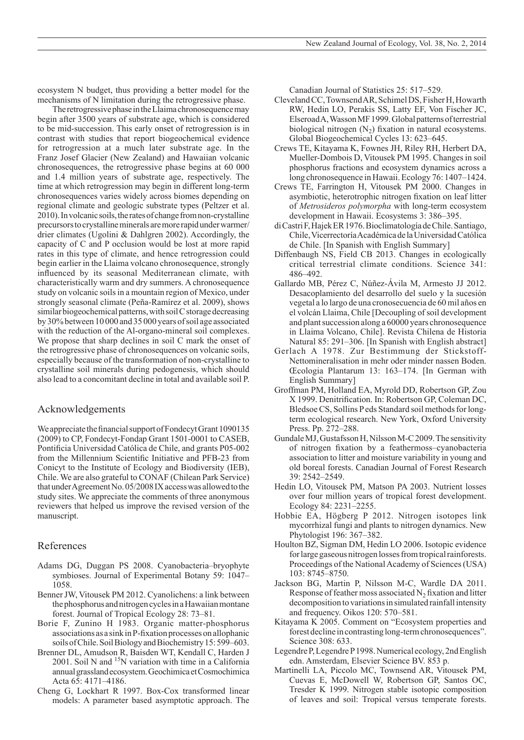ecosystem N budget, thus providing a better model for the mechanisms of N limitation during the retrogressive phase.

The retrogressive phase in the Llaima chronosequence may begin after 3500 years of substrate age, which is considered to be mid-succession. This early onset of retrogression is in contrast with studies that report biogeochemical evidence for retrogression at a much later substrate age. In the Franz Josef Glacier (New Zealand) and Hawaiian volcanic chronosequences, the retrogressive phase begins at 60 000 and 1.4 million years of substrate age, respectively. The time at which retrogression may begin in different long-term chronosequences varies widely across biomes depending on regional climate and geologic substrate types (Peltzer et al. 2010). In volcanic soils, the rates of change from non-crystalline precursors to crystalline minerals are more rapid under warmer/ drier climates (Ugolini & Dahlgren 2002). Accordingly, the capacity of C and P occlusion would be lost at more rapid rates in this type of climate, and hence retrogression could begin earlier in the Llaima volcano chronosequence, strongly influenced by its seasonal Mediterranean climate, with characteristically warm and dry summers. A chronosequence study on volcanic soils in a mountain region of Mexico, under strongly seasonal climate (Peña-Ramírez et al. 2009), shows similar biogeochemical patterns, with soil C storage decreasing by 30% between 10 000 and 35 000 years of soil age associated with the reduction of the Al-organo-mineral soil complexes. We propose that sharp declines in soil C mark the onset of the retrogressive phase of chronosequences on volcanic soils, especially because of the transformation of non-crystalline to crystalline soil minerals during pedogenesis, which should also lead to a concomitant decline in total and available soil P.

# Acknowledgements

We appreciate the financial support of Fondecyt Grant 1090135 (2009) to CP, Fondecyt-Fondap Grant 1501-0001 to CASEB, Pontificia Universidad Católica de Chile, and grants P05-002 from the Millennium Scientific Initiative and PFB-23 from Conicyt to the Institute of Ecology and Biodiversity (IEB), Chile. We are also grateful to CONAF (Chilean Park Service) that under Agreement No. 05/2008 IX access was allowed to the study sites. We appreciate the comments of three anonymous reviewers that helped us improve the revised version of the manuscript.

# References

- Adams DG, Duggan PS 2008. Cyanobacteria–bryophyte symbioses. Journal of Experimental Botany 59: 1047– 1058.
- Benner JW, Vitousek PM 2012. Cyanolichens: a link between the phosphorus and nitrogen cycles in a Hawaiian montane forest. Journal of Tropical Ecology 28: 73–81.
- Borie F, Zunino H 1983. Organic matter-phosphorus associations as a sink in P-fixation processes on allophanic soils of Chile. Soil Biology and Biochemistry 15: 599–603.
- Brenner DL, Amudson R, Baisden WT, Kendall C, Harden J 2001. Soil N and  $^{15}N$  variation with time in a California annual grassland ecosystem. Geochimica et Cosmochimica Acta 65: 4171–4186.
- Cheng G, Lockhart R 1997. Box-Cox transformed linear models: A parameter based asymptotic approach. The

Canadian Journal of Statistics 25: 517–529.

- Cleveland CC, Townsend AR, Schimel DS, Fisher H, Howarth RW, Hedin LO, Perakis SS, Latty EF, Von Fischer JC, Elseroad A, Wasson MF 1999. Global patterns of terrestrial biological nitrogen  $(N_2)$  fixation in natural ecosystems. Global Biogeochemical Cycles 13: 623–645.
- Crews TE, Kitayama K, Fownes JH, Riley RH, Herbert DA, Mueller-Dombois D, Vitousek PM 1995. Changes in soil phosphorus fractions and ecosystem dynamics across a long chronosequence in Hawaii. Ecology 76: 1407–1424.
- Crews TE, Farrington H, Vitousek PM 2000. Changes in asymbiotic, heterotrophic nitrogen fixation on leaf litter of *Metrosideros polymorpha* with long-term ecosystem development in Hawaii. Ecosystems 3: 386–395.
- di CastriF, HajekER 1976. Bioclimatología de Chile. Santiago, Chile, Vicerrectoría Académica de la Universidad Católica de Chile. [In Spanish with English Summary]
- Diffenbaugh NS, Field CB 2013. Changes in ecologically critical terrestrial climate conditions. Science 341: 486–492.
- Gallardo MB, Pérez C, Núñez-Ávila M, Armesto JJ 2012. Desacoplamiento del desarrollo del suelo y la sucesión vegetal a lo largo de una cronosecuencia de 60 mil años en el volcán Llaima, Chile [Decoupling of soil development and plant succession along a 60000 years chronosequence in Llaima Volcano, Chile]. Revista Chilena de Historia Natural 85: 291–306. [In Spanish with English abstract]
- Gerlach A 1978. Zur Bestimmung der Stickstoff-Nettomineralisation in mehr oder minder nassen Boden. Œcologia Plantarum 13: 163–174. [In German with English Summary]
- Groffman PM, Holland EA, Myrold DD, Robertson GP, Zou X 1999. Denitrification. In: Robertson GP, Coleman DC, Bledsoe CS, Sollins P eds Standard soil methods for longterm ecological research. New York, Oxford University Press. Pp. 272–288.
- Gundale MJ, Gustafsson H, Nilsson M-C 2009. The sensitivity of nitrogen fixation by a feathermoss–cyanobacteria association to litter and moisture variability in young and old boreal forests. Canadian Journal of Forest Research 39: 2542–2549.
- Hedin LO, Vitousek PM, Matson PA 2003. Nutrient losses over four million years of tropical forest development. Ecology 84: 2231–2255.
- Hobbie EA, Högberg P 2012. Nitrogen isotopes link mycorrhizal fungi and plants to nitrogen dynamics. New Phytologist 196: 367–382.
- Houlton BZ, Sigman DM, Hedin LO 2006. Isotopic evidence for large gaseous nitrogen losses from tropical rainforests. Proceedings of the National Academy of Sciences (USA) 103: 8745–8750.
- Jackson BG, Martin P, Nilsson M-C, Wardle DA 2011. Response of feather moss associated  $N<sub>2</sub>$  fixation and litter decomposition to variations in simulated rainfall intensity and frequency. Oikos 120: 570–581.
- Kitayama K 2005. Comment on "Ecosystem properties and forest decline in contrasting long-term chronosequences". Science 308: 633.
- Legendre P, Legendre P 1998. Numerical ecology, 2nd English edn. Amsterdam, Elsevier Science BV. 853 p.
- Martinelli LA, Piccolo MC, Townsend AR, Vitousek PM, Cuevas E, McDowell W, Robertson GP, Santos OC, Tresder K 1999. Nitrogen stable isotopic composition of leaves and soil: Tropical versus temperate forests.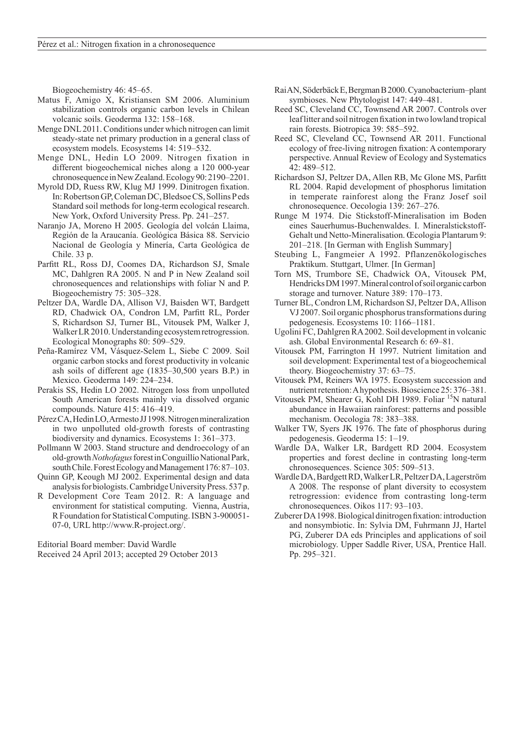Biogeochemistry 46: 45–65.

- Matus F, Amigo X, Kristiansen SM 2006. Aluminium stabilization controls organic carbon levels in Chilean volcanic soils. Geoderma 132: 158–168.
- Menge DNL 2011. Conditions under which nitrogen can limit steady-state net primary production in a general class of ecosystem models. Ecosystems 14: 519–532.
- Menge DNL, Hedin LO 2009. Nitrogen fixation in different biogeochemical niches along a 120 000-year chronosequence in New Zealand. Ecology 90: 2190–2201.
- Myrold DD, Ruess RW, Klug MJ 1999. Dinitrogen fixation. In: Robertson GP, Coleman DC, Bledsoe CS, Sollins P eds Standard soil methods for long-term ecological research. New York, Oxford University Press. Pp. 241–257.
- Naranjo JA, Moreno H 2005. Geología del volcán Llaima, Región de la Araucanía. Geológica Básica 88. Servicio Nacional de Geología y Minería, Carta Geológica de Chile. 33 p.
- Parfitt RL, Ross DJ, Coomes DA, Richardson SJ, Smale MC, Dahlgren RA 2005. N and P in New Zealand soil chronosequences and relationships with foliar N and P. Biogeochemistry 75: 305–328.
- Peltzer DA, Wardle DA, Allison VJ, Baisden WT, Bardgett RD, Chadwick OA, Condron LM, Parfitt RL, Porder S, Richardson SJ, Turner BL, Vitousek PM, Walker J, Walker LR 2010. Understanding ecosystem retrogression. Ecological Monographs 80: 509–529.
- Peña-Ramírez VM, Vásquez-Selem L, Siebe C 2009. Soil organic carbon stocks and forest productivity in volcanic ash soils of different age (1835–30,500 years B.P.) in Mexico. Geoderma 149: 224–234.
- Perakis SS, Hedin LO 2002. Nitrogen loss from unpolluted South American forests mainly via dissolved organic compounds. Nature 415: 416–419.
- Pérez CA, Hedin LO, Armesto JJ 1998. Nitrogen mineralization in two unpolluted old-growth forests of contrasting biodiversity and dynamics. Ecosystems 1: 361–373.
- Pollmann W 2003. Stand structure and dendroecology of an old-growth *Nothofagus* forest in Conguillío National Park, south Chile. Forest Ecology and Management 176: 87–103.
- Quinn GP, Keough MJ 2002. Experimental design and data analysis for biologists. Cambridge University Press. 537p.
- R Development Core Team 2012. R: A language and environment for statistical computing. Vienna, Austria, R Foundation for Statistical Computing. ISBN 3-900051- 07-0, URL http://www.R-project.org/.

Editorial Board member: David Wardle Received 24 April 2013; accepted 29 October 2013

- Rai AN, Söderbäck E, Bergman B 2000. Cyanobacterium–plant symbioses. New Phytologist 147: 449–481.
- Reed SC, Cleveland CC, Townsend AR 2007. Controls over leaf litter and soil nitrogen fixation in two lowland tropical rain forests. Biotropica 39: 585–592.
- Reed SC, Cleveland CC, Townsend AR 2011. Functional ecology of free-living nitrogen fixation: A contemporary perspective. Annual Review of Ecology and Systematics 42: 489–512.
- Richardson SJ, Peltzer DA, Allen RB, Mc Glone MS, Parfitt RL 2004. Rapid development of phosphorus limitation in temperate rainforest along the Franz Josef soil chronosequence. Oecologia 139: 267–276.
- Runge M 1974. Die Stickstoff-Mineralisation im Boden eines Sauerhumus-Buchenwaldes. I. Mineralstickstoff-Gehalt und Netto-Mineralisation. Œcologia Plantarum 9: 201–218. [In German with English Summary]
- Steubing L, Fangmeier A 1992. Pflanzenökologisches Praktikum. Stuttgart, Ulmer. [In German]
- Torn MS, Trumbore SE, Chadwick OA, Vitousek PM, Hendricks DM 1997. Mineral control of soil organic carbon storage and turnover. Nature 389: 170–173.
- Turner BL, Condron LM, Richardson SJ, Peltzer DA, Allison VJ 2007. Soil organic phosphorus transformations during pedogenesis. Ecosystems 10: 1166–1181.
- Ugolini FC, Dahlgren RA 2002. Soil development in volcanic ash. Global Environmental Research 6: 69–81.
- Vitousek PM, Farrington H 1997. Nutrient limitation and soil development: Experimental test of a biogeochemical theory. Biogeochemistry 37: 63–75.
- Vitousek PM, Reiners WA 1975. Ecosystem succession and nutrient retention: A hypothesis. Bioscience 25: 376–381.
- Vitousek PM, Shearer G, Kohl DH 1989. Foliar <sup>15</sup>N natural abundance in Hawaiian rainforest: patterns and possible mechanism. Oecologia 78: 383–388.
- Walker TW, Syers JK 1976. The fate of phosphorus during pedogenesis. Geoderma 15: 1–19.
- Wardle DA, Walker LR, Bardgett RD 2004. Ecosystem properties and forest decline in contrasting long-term chronosequences. Science 305: 509–513.
- Wardle DA, Bardgett RD, Walker LR, Peltzer DA, Lagerström A 2008. The response of plant diversity to ecosystem retrogression: evidence from contrasting long-term chronosequences. Oikos 117: 93–103.
- Zuberer DA 1998. Biological dinitrogen fixation: introduction and nonsymbiotic. In: Sylvia DM, Fuhrmann JJ, Hartel PG, Zuberer DA eds Principles and applications of soil microbiology. Upper Saddle River, USA, Prentice Hall. Pp. 295–321.